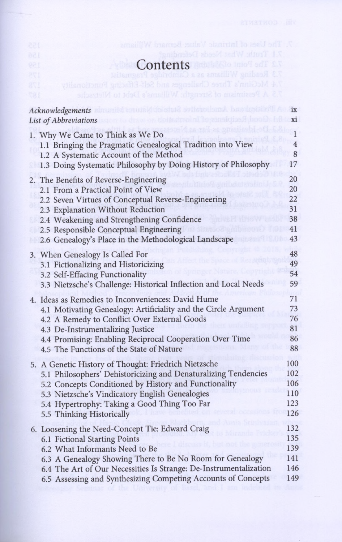## 7.1 Truth: What Needs Defending<br>7.2 The Point of Malum Statement Constants<br>7.3 Reading Williams as a Cambridge Pragmatist<br>7.4 McGinn's Three Challenges and Self-Effecing Punctionality

| in state software and hands<br>Acknowledgements<br>List of Abbreviations | ix<br>xi       |
|--------------------------------------------------------------------------|----------------|
| 1. Why We Came to Think as We Do                                         | 1              |
| 1.1 Bringing the Pragmatic Genealogical Tradition into View              | $\overline{4}$ |
| 1.2 A Systematic Account of the Method                                   | 8              |
| 1.3 Doing Systematic Philosophy by Doing History of Philosophy           | 17             |
| 2. The Benefits of Reverse-Engineering                                   | 20             |
| 2.1 From a Practical Point of View                                       | 20             |
| 2.2 Seven Virtues of Conceptual Reverse-Engineering                      | 22             |
| 2.3 Explanation Without Reduction                                        | 31             |
| 2.4 Weakening and Strengthening Confidence                               | 38             |
| 2.5 Responsible Conceptual Engineering                                   | 41             |
| 2.6 Genealogy's Place in the Methodological Landscape                    | 43             |
| 3. When Genealogy Is Called For                                          | 48             |
| 3.1 Fictionalizing and Historicizing                                     | 49             |
| 3.2 Self-Effacing Functionality                                          | 54             |
| 3.3 Nietzsche's Challenge: Historical Inflection and Local Needs         | 59             |
| 4. Ideas as Remedies to Inconveniences: David Hume                       | 71             |
| 4.1 Motivating Genealogy: Artificiality and the Circle Argument          | 73             |
| 4.2 A Remedy to Conflict Over External Goods                             | 76             |
| 4.3 De-Instrumentalizing Justice                                         | 81             |
| 4.4 Promising: Enabling Reciprocal Cooperation Over Time                 | 86             |
| 4.5 The Functions of the State of Nature                                 | 88             |
| 5. A Genetic History of Thought: Friedrich Nietzsche                     | 100            |
| 5.1 Philosophers' Dehistoricizing and Denaturalizing Tendencies          | 102            |
| 5.2 Concepts Conditioned by History and Functionality                    | 106            |
| 5.3 Nietzsche's Vindicatory English Genealogies                          | 110            |
| 5.4 Hypertrophy: Taking a Good Thing Too Far                             | 123            |
| 5.5 Thinking Historically                                                | 126            |
| 6. Loosening the Need-Concept Tie: Edward Craig                          | 132            |
| 6.1 Fictional Starting Points                                            | 135            |
| 6.2 What Informants Need to Be                                           | 139            |
| 6.3 A Genealogy Showing There to Be No Room for Genealogy                | 141            |
| 6.4 The Art of Our Necessities Is Strange: De-Instrumentalization        | 146            |
| 6.5 Assessing and Synthesizing Competing Accounts of Concepts            | 149            |